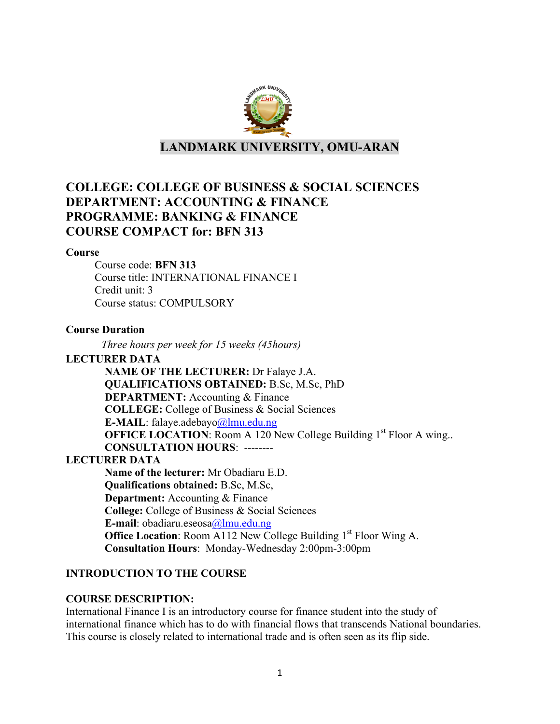

**LANDMARK UNIVERSITY, OMU-ARAN**

# **COLLEGE: COLLEGE OF BUSINESS & SOCIAL SCIENCES DEPARTMENT: ACCOUNTING & FINANCE PROGRAMME: BANKING & FINANCE COURSE COMPACT for: BFN 313**

#### **Course**

Course code: **BFN 313** Course title: INTERNATIONAL FINANCE I Credit unit: 3 Course status: COMPULSORY

#### **Course Duration**

*Three hours per week for 15 weeks (45hours)*

#### **LECTURER DATA**

**NAME OF THE LECTURER:** Dr Falaye J.A. **QUALIFICATIONS OBTAINED:** B.Sc, M.Sc, PhD **DEPARTMENT:** Accounting & Finance **COLLEGE:** College of Business & Social Sciences **E-MAIL**: falaye.adebayo@lmu.edu.ng **OFFICE LOCATION:** Room A 120 New College Building 1<sup>st</sup> Floor A wing... **CONSULTATION HOURS**: -------- **LECTURER DATA Name of the lecturer:** Mr Obadiaru E.D. **Qualifications obtained:** B.Sc, M.Sc, **Department:** Accounting & Finance **College:** College of Business & Social Sciences **E-mail**: obadiaru.eseosa@lmu.edu.ng **Office Location:** Room A112 New College Building 1<sup>st</sup> Floor Wing A. **Consultation Hours**: Monday-Wednesday 2:00pm-3:00pm

### **INTRODUCTION TO THE COURSE**

#### **COURSE DESCRIPTION:**

International Finance I is an introductory course for finance student into the study of international finance which has to do with financial flows that transcends National boundaries. This course is closely related to international trade and is often seen as its flip side.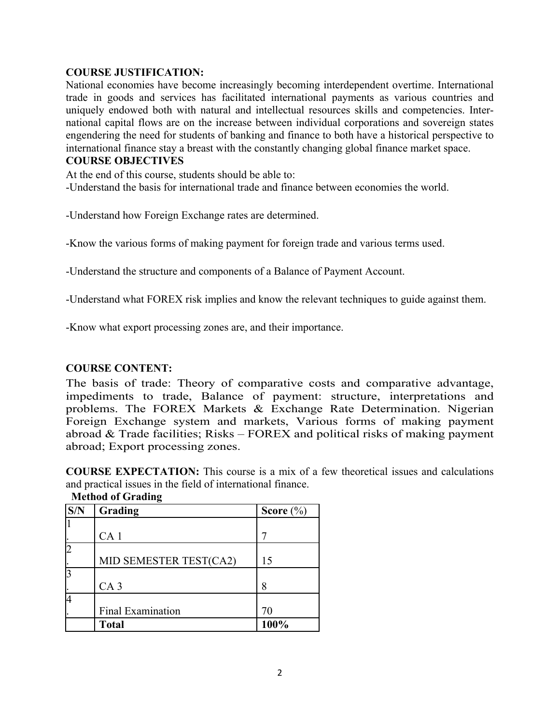#### **COURSE JUSTIFICATION:**

National economies have become increasingly becoming interdependent overtime. International trade in goods and services has facilitated international payments as various countries and uniquely endowed both with natural and intellectual resources skills and competencies. International capital flows are on the increase between individual corporations and sovereign states engendering the need for students of banking and finance to both have a historical perspective to international finance stay a breast with the constantly changing global finance market space.

#### **COURSE OBJECTIVES**

At the end of this course, students should be able to: -Understand the basis for international trade and finance between economies the world.

-Understand how Foreign Exchange rates are determined.

-Know the various forms of making payment for foreign trade and various terms used.

-Understand the structure and components of a Balance of Payment Account.

-Understand what FOREX risk implies and know the relevant techniques to guide against them.

-Know what export processing zones are, and their importance.

### **COURSE CONTENT:**

The basis of trade: Theory of comparative costs and comparative advantage, impediments to trade, Balance of payment: structure, interpretations and problems. The FOREX Markets & Exchange Rate Determination. Nigerian Foreign Exchange system and markets, Various forms of making payment abroad  $& Trade facilities; Risks - FOREX and political risks of making payment$ abroad; Export processing zones.

**COURSE EXPECTATION:** This course is a mix of a few theoretical issues and calculations and practical issues in the field of international finance.

| S/N | Grading                  | Score $(\% )$ |
|-----|--------------------------|---------------|
|     |                          |               |
|     | CA <sub>1</sub>          |               |
|     |                          |               |
|     | MID SEMESTER TEST(CA2)   | 15            |
|     |                          |               |
|     | CA <sub>3</sub>          | 8             |
| 4   |                          |               |
|     | <b>Final Examination</b> | 70            |
|     | <b>Total</b>             | 100%          |

**Method of Grading**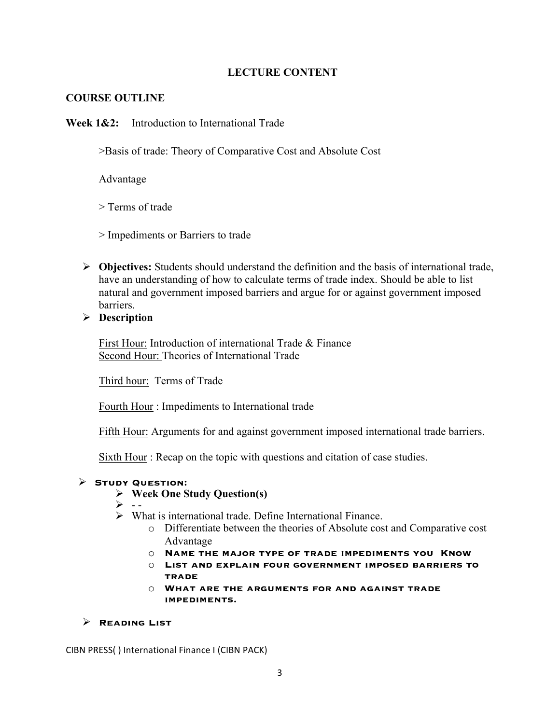### **LECTURE CONTENT**

### **COURSE OUTLINE**

**Week 1&2:** Introduction to International Trade

>Basis of trade: Theory of Comparative Cost and Absolute Cost

Advantage

> Terms of trade

> Impediments or Barriers to trade

Ø **Objectives:** Students should understand the definition and the basis of international trade, have an understanding of how to calculate terms of trade index. Should be able to list natural and government imposed barriers and argue for or against government imposed barriers.

Ø **Description**

First Hour: Introduction of international Trade & Finance Second Hour: Theories of International Trade

Third hour: Terms of Trade

Fourth Hour : Impediments to International trade

Fifth Hour: Arguments for and against government imposed international trade barriers.

Sixth Hour : Recap on the topic with questions and citation of case studies.

#### Ø **Study Question:**

### Ø **Week One Study Question(s)**

- $\triangleright$  --
- $\triangleright$  What is international trade. Define International Finance.
	- o Differentiate between the theories of Absolute cost and Comparative cost Advantage
	- o **Name the major type of trade impediments you Know**
	- o **List and explain four government imposed barriers to trade**
	- o **What are the arguments for and against trade impediments.**

#### Ø **Reading List**

CIBN PRESS() International Finance I (CIBN PACK)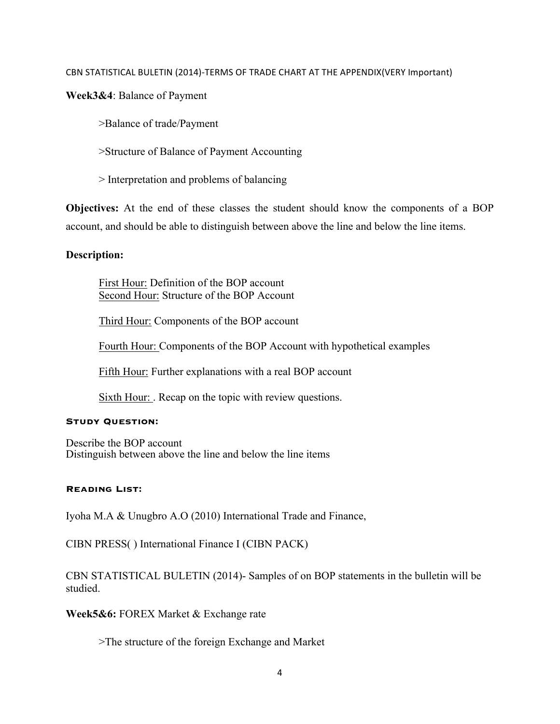#### CBN STATISTICAL BULETIN (2014)-TERMS OF TRADE CHART AT THE APPENDIX(VERY Important)

**Week3&4**: Balance of Payment

>Balance of trade/Payment

>Structure of Balance of Payment Accounting

> Interpretation and problems of balancing

**Objectives:** At the end of these classes the student should know the components of a BOP account, and should be able to distinguish between above the line and below the line items.

### **Description:**

First Hour: Definition of the BOP account Second Hour: Structure of the BOP Account

Third Hour: Components of the BOP account

Fourth Hour: Components of the BOP Account with hypothetical examples

Fifth Hour: Further explanations with a real BOP account

Sixth Hour: . Recap on the topic with review questions.

#### **Study Question:**

Describe the BOP account Distinguish between above the line and below the line items

#### **Reading List:**

Iyoha M.A & Unugbro A.O (2010) International Trade and Finance,

CIBN PRESS( ) International Finance I (CIBN PACK)

CBN STATISTICAL BULETIN (2014)- Samples of on BOP statements in the bulletin will be studied.

**Week5&6:** FOREX Market & Exchange rate

>The structure of the foreign Exchange and Market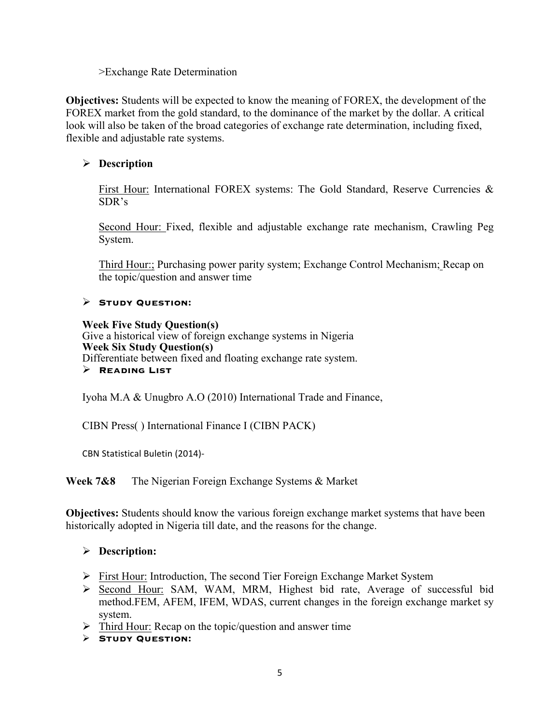>Exchange Rate Determination

**Objectives:** Students will be expected to know the meaning of FOREX, the development of the FOREX market from the gold standard, to the dominance of the market by the dollar. A critical look will also be taken of the broad categories of exchange rate determination, including fixed, flexible and adjustable rate systems.

## Ø **Description**

First Hour: International FOREX systems: The Gold Standard, Reserve Currencies & SDR's

Second Hour: Fixed, flexible and adjustable exchange rate mechanism, Crawling Peg System.

Third Hour:; Purchasing power parity system; Exchange Control Mechanism; Recap on the topic/question and answer time

### Ø **Study Question:**

#### **Week Five Study Question(s)**

Give a historical view of foreign exchange systems in Nigeria **Week Six Study Question(s)**  Differentiate between fixed and floating exchange rate system. Ø **Reading List**

Iyoha M.A & Unugbro A.O (2010) International Trade and Finance,

CIBN Press( ) International Finance I (CIBN PACK)

CBN Statistical Buletin (2014)-

**Week 7&8** The Nigerian Foreign Exchange Systems & Market

**Objectives:** Students should know the various foreign exchange market systems that have been historically adopted in Nigeria till date, and the reasons for the change.

### Ø **Description:**

- Ø First Hour: Introduction, The second Tier Foreign Exchange Market System
- Ø Second Hour: SAM, WAM, MRM, Highest bid rate, Average of successful bid method.FEM, AFEM, IFEM, WDAS, current changes in the foreign exchange market sy system.
- $\triangleright$  Third Hour: Recap on the topic/question and answer time
- Ø **Study Question:**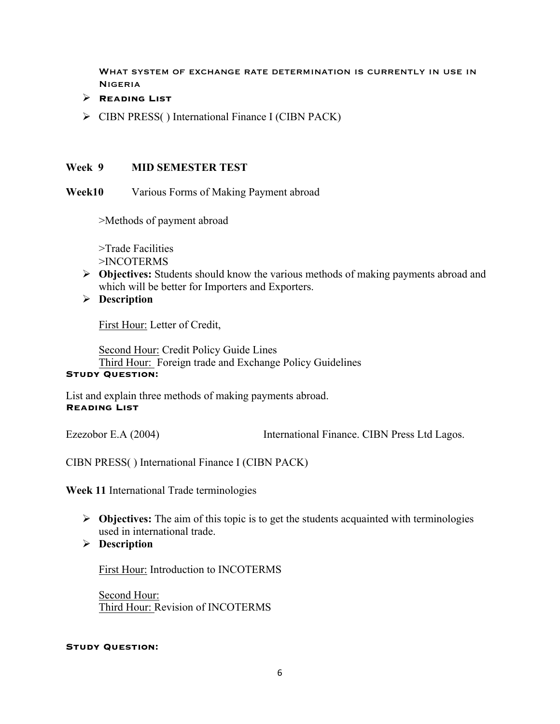What system of exchange rate determination is currently in use in **NIGERIA** 

- Ø **Reading List**
- Ø CIBN PRESS( ) International Finance I (CIBN PACK)

### **Week 9 MID SEMESTER TEST**

**Week10** Various Forms of Making Payment abroad

>Methods of payment abroad

>Trade Facilities >INCOTERMS

- Ø **Objectives:** Students should know the various methods of making payments abroad and which will be better for Importers and Exporters.
- Ø **Description**

First Hour: Letter of Credit,

Second Hour: Credit Policy Guide Lines Third Hour: Foreign trade and Exchange Policy Guidelines

## **STUDY QUESTION:**

List and explain three methods of making payments abroad. **Reading List**

Ezezobor E.A (2004) International Finance. CIBN Press Ltd Lagos.

CIBN PRESS( ) International Finance I (CIBN PACK)

**Week 11** International Trade terminologies

- Ø **Objectives:** The aim of this topic is to get the students acquainted with terminologies used in international trade.
- Ø **Description**

First Hour: Introduction to INCOTERMS

Second Hour: Third Hour: Revision of INCOTERMS

#### **Study Question:**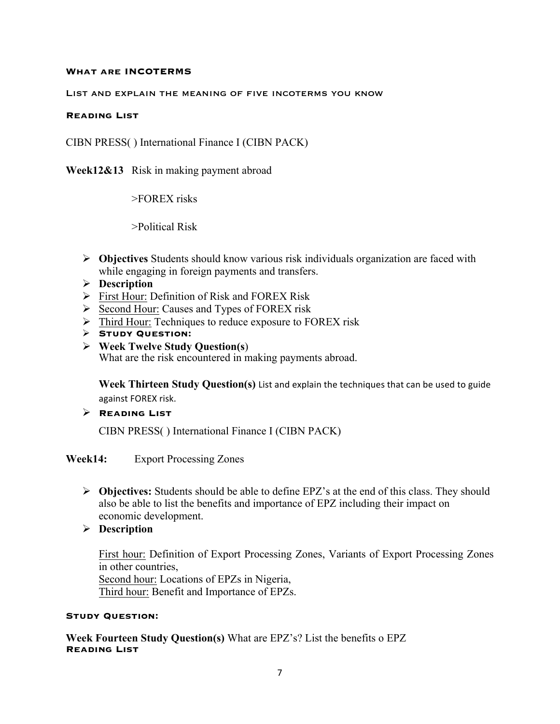#### **What are INCOTERMS**

#### List and explain the meaning of five incoterms you know

#### **Reading List**

CIBN PRESS( ) International Finance I (CIBN PACK)

**Week12&13** Risk in making payment abroad

>FOREX risks

>Political Risk

- Ø **Objectives** Students should know various risk individuals organization are faced with while engaging in foreign payments and transfers.
- Ø **Description**
- Ø First Hour: Definition of Risk and FOREX Risk
- Ø Second Hour: Causes and Types of FOREX risk
- $\triangleright$  Third Hour: Techniques to reduce exposure to FOREX risk
- Ø **Study Question:**
- Ø **Week Twelve Study Question(s**) What are the risk encountered in making payments abroad.

**Week Thirteen Study Ouestion(s)** List and explain the techniques that can be used to guide against FOREX risk.

### Ø **Reading List**

CIBN PRESS( ) International Finance I (CIBN PACK)

#### **Week14:** Export Processing Zones

- Ø **Objectives:** Students should be able to define EPZ's at the end of this class. They should also be able to list the benefits and importance of EPZ including their impact on economic development.
- Ø **Description**

First hour: Definition of Export Processing Zones, Variants of Export Processing Zones in other countries, Second hour: Locations of EPZs in Nigeria, Third hour: Benefit and Importance of EPZs.

#### **Study Question:**

**Week Fourteen Study Question(s)** What are EPZ's? List the benefits o EPZ **Reading List**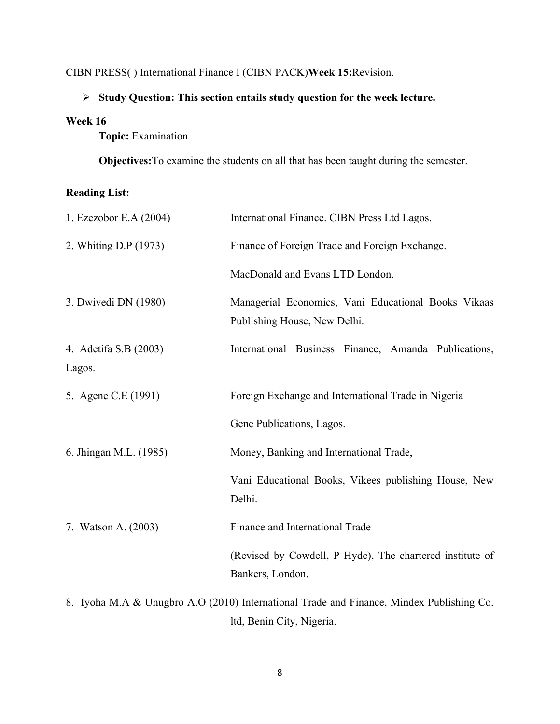## CIBN PRESS( ) International Finance I (CIBN PACK)**Week 15:**Revision.

## Ø **Study Question: This section entails study question for the week lecture.**

#### **Week 16**

**Topic:** Examination

**Objectives:**To examine the students on all that has been taught during the semester.

## **Reading List:**

| 1. Ezezobor E.A (2004)          | International Finance. CIBN Press Ltd Lagos.                                                         |
|---------------------------------|------------------------------------------------------------------------------------------------------|
| 2. Whiting D.P (1973)           | Finance of Foreign Trade and Foreign Exchange.                                                       |
|                                 | MacDonald and Evans LTD London.                                                                      |
| 3. Dwivedi DN (1980)            | Managerial Economics, Vani Educational Books Vikaas<br>Publishing House, New Delhi.                  |
| 4. Adetifa S.B (2003)<br>Lagos. | International Business Finance, Amanda Publications,                                                 |
| 5. Agene C.E (1991)             | Foreign Exchange and International Trade in Nigeria                                                  |
|                                 | Gene Publications, Lagos.                                                                            |
| 6. Jhingan M.L. (1985)          | Money, Banking and International Trade,                                                              |
|                                 | Vani Educational Books, Vikees publishing House, New<br>Delhi.                                       |
| 7. Watson A. (2003)             | Finance and International Trade                                                                      |
|                                 | (Revised by Cowdell, P Hyde), The chartered institute of<br>Bankers, London.                         |
|                                 | 8 Ivoha M $\Delta$ & Unughro $\Delta$ O (2010) International Trade and Finance Mindex Publishing Co. |

8. Iyoha M.A & Unugbro A.O (2010) International Trade and Finance, Mindex Publishing Co. ltd, Benin City, Nigeria.